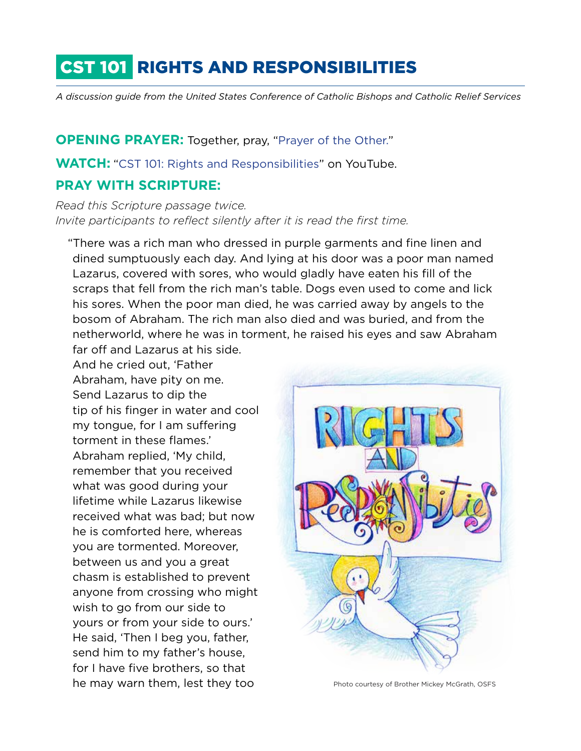# CST 101 RIGHTS AND RESPONSIBILITIES

*A discussion guide from the United States Conference of Catholic Bishops and Catholic Relief Services*

#### **OPENING PRAYER:** Together, pray, ["Prayer of the Other.](http://www.crs.org/resource-center/prayer-other)"

**WATCH:** "[CST 101: Rights and Responsibilities](https://www.youtube.com/watch?v=OPB6sXj6Fwo)" on YouTube.

#### **PRAY WITH SCRIPTURE:**

*Read this Scripture passage twice. Invite participants to reflect silently after it is read the first time.* 

"There was a rich man who dressed in purple garments and fine linen and dined sumptuously each day. And lying at his door was a poor man named Lazarus, covered with sores, who would gladly have eaten his fill of the scraps that fell from the rich man's table. Dogs even used to come and lick his sores. When the poor man died, he was carried away by angels to the bosom of Abraham. The rich man also died and was buried, and from the netherworld, where he was in torment, he raised his eyes and saw Abraham far off and Lazarus at his side.

And he cried out, 'Father Abraham, have pity on me. Send Lazarus to dip the tip of his finger in water and cool my tongue, for I am suffering torment in these flames.' Abraham replied, 'My child, remember that you received what was good during your lifetime while Lazarus likewise received what was bad; but now he is comforted here, whereas you are tormented. Moreover, between us and you a great chasm is established to prevent anyone from crossing who might wish to go from our side to yours or from your side to ours.' He said, 'Then I beg you, father, send him to my father's house, for I have five brothers, so that he may warn them, lest they too **Photo courtesy of Brother Mickey McGrath**, OSFS

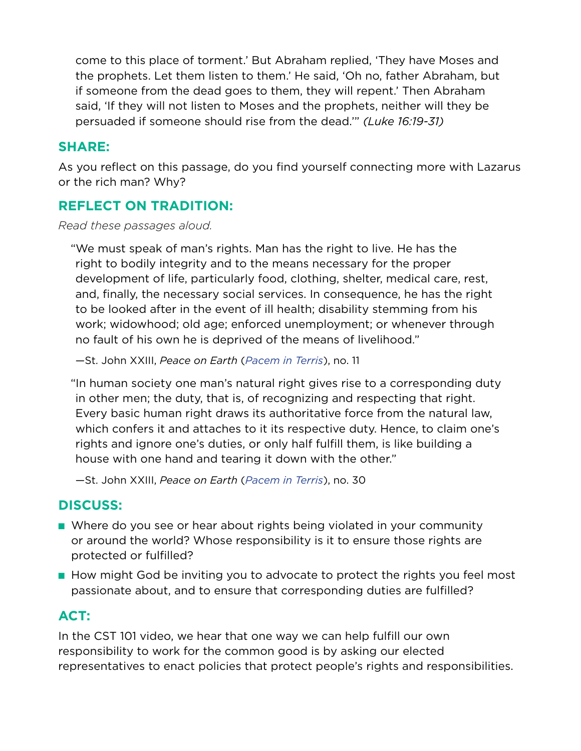come to this place of torment.' But Abraham replied, 'They have Moses and the prophets. Let them listen to them.' He said, 'Oh no, father Abraham, but if someone from the dead goes to them, they will repent.' Then Abraham said, 'If they will not listen to Moses and the prophets, neither will they be persuaded if someone should rise from the dead.'" *(Luke 16:19-31)*

### **SHARE:**

As you reflect on this passage, do you find yourself connecting more with Lazarus or the rich man? Why?

## **REFLECT ON TRADITION:**

*Read these passages aloud.*

"We must speak of man's rights. Man has the right to live. He has the right to bodily integrity and to the means necessary for the proper development of life, particularly food, clothing, shelter, medical care, rest, and, finally, the necessary social services. In consequence, he has the right to be looked after in the event of ill health; disability stemming from his work; widowhood; old age; enforced unemployment; or whenever through no fault of his own he is deprived of the means of livelihood."

—St. John XXIII, *Peace on Earth* (*[Pacem in Terris](http://w2.vatican.va/content/john-xxiii/en/encyclicals/documents/hf_j-xxiii_enc_11041963_pacem.html)*), no. 11

"In human society one man's natural right gives rise to a corresponding duty in other men; the duty, that is, of recognizing and respecting that right. Every basic human right draws its authoritative force from the natural law, which confers it and attaches to it its respective duty. Hence, to claim one's rights and ignore one's duties, or only half fulfill them, is like building a house with one hand and tearing it down with the other."

—St. John XXIII, *Peace on Earth* (*[Pacem in Terris](http://w2.vatican.va/content/john-xxiii/en/encyclicals/documents/hf_j-xxiii_enc_11041963_pacem.html)*), no. 30

# **DISCUSS:**

- Where do you see or hear about rights being violated in your community or around the world? Whose responsibility is it to ensure those rights are protected or fulfilled?
- How might God be inviting you to advocate to protect the rights you feel most passionate about, and to ensure that corresponding duties are fulfilled?

# **ACT:**

In the CST 101 video, we hear that one way we can help fulfill our own responsibility to work for the common good is by asking our elected representatives to enact policies that protect people's rights and responsibilities.